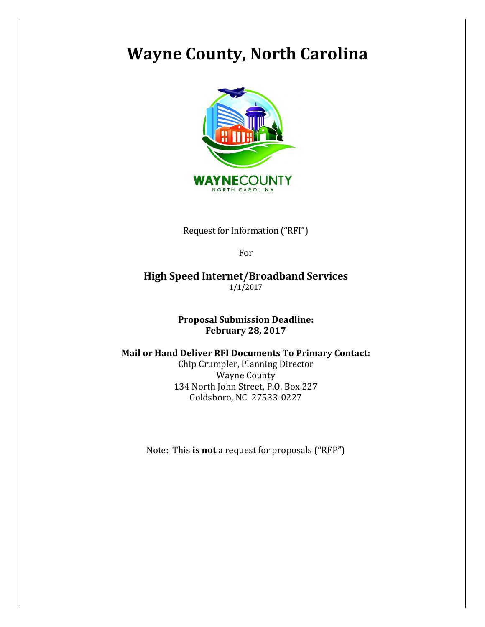# Wayne County, North Carolina



Request for Information ("RFI")

For

High Speed Internet/Broadband Services 1/1/2017

> Proposal Submission Deadline: February 28, 2017

#### Mail or Hand Deliver RFI Documents To Primary Contact:

Chip Crumpler, Planning Director Wayne County 134 North John Street, P.O. Box 227 Goldsboro, NC 27533-0227

Note: This **is not** a request for proposals ("RFP")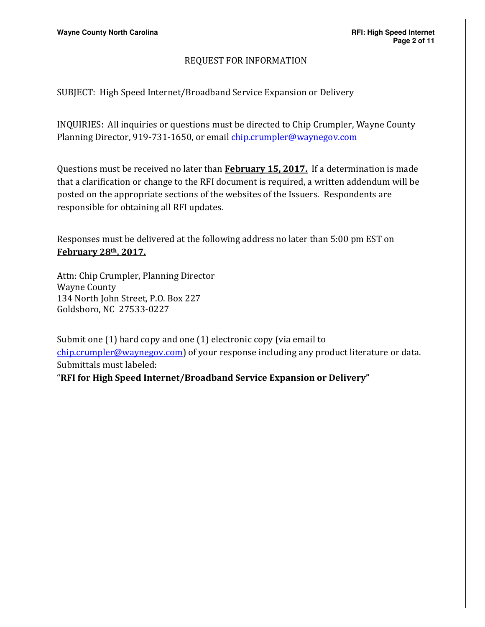#### REQUEST FOR INFORMATION

SUBJECT: High Speed Internet/Broadband Service Expansion or Delivery

INQUIRIES: All inquiries or questions must be directed to Chip Crumpler, Wayne County Planning Director, 919-731-1650, or email chip.crumpler@waynegov.com

Questions must be received no later than **February 15, 2017.** If a determination is made that a clarification or change to the RFI document is required, a written addendum will be posted on the appropriate sections of the websites of the Issuers. Respondents are responsible for obtaining all RFI updates.

Responses must be delivered at the following address no later than 5:00 pm EST on February 28th, 2017.

Attn: Chip Crumpler, Planning Director Wayne County 134 North John Street, P.O. Box 227 Goldsboro, NC 27533-0227

Submit one (1) hard copy and one (1) electronic copy (via email to chip.crumpler@waynegov.com) of your response including any product literature or data. Submittals must labeled:

"RFI for High Speed Internet/Broadband Service Expansion or Delivery"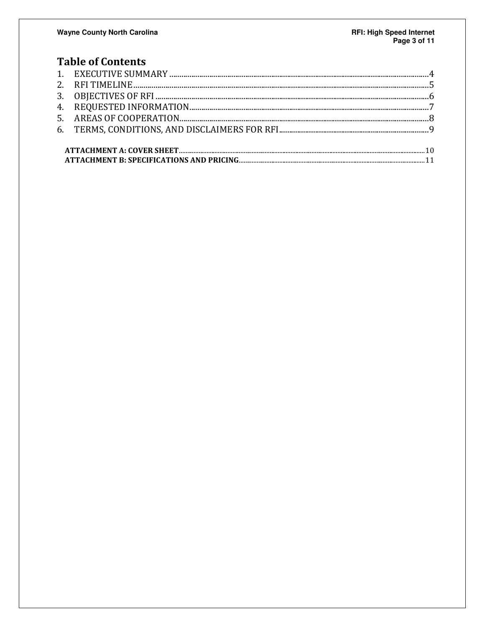# **Table of Contents**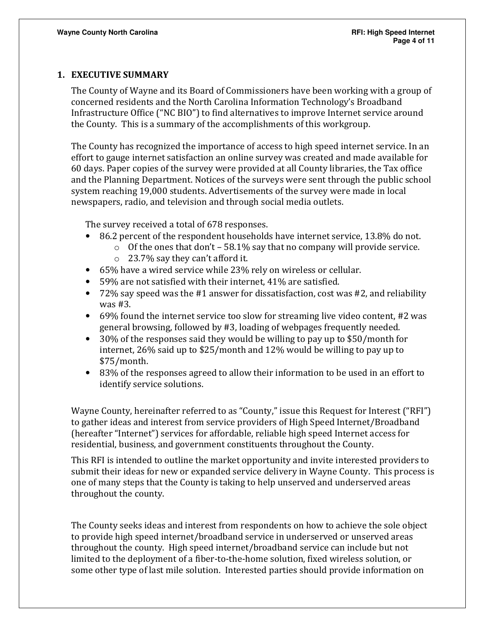#### 1. EXECUTIVE SUMMARY

The County of Wayne and its Board of Commissioners have been working with a group of concerned residents and the North Carolina Information Technology's Broadband Infrastructure Office ("NC BIO") to find alternatives to improve Internet service around the County. This is a summary of the accomplishments of this workgroup.

The County has recognized the importance of access to high speed internet service. In an effort to gauge internet satisfaction an online survey was created and made available for 60 days. Paper copies of the survey were provided at all County libraries, the Tax office and the Planning Department. Notices of the surveys were sent through the public school system reaching 19,000 students. Advertisements of the survey were made in local newspapers, radio, and television and through social media outlets.

The survey received a total of 678 responses.

- 86.2 percent of the respondent households have internet service, 13.8% do not.
	- $\circ$  Of the ones that don't 58.1% say that no company will provide service.
	- o 23.7% say they can't afford it.
- 65% have a wired service while 23% rely on wireless or cellular.
- 59% are not satisfied with their internet, 41% are satisfied.
- 72% say speed was the #1 answer for dissatisfaction, cost was #2, and reliability was #3.
- 69% found the internet service too slow for streaming live video content, #2 was general browsing, followed by #3, loading of webpages frequently needed.
- 30% of the responses said they would be willing to pay up to \$50/month for internet, 26% said up to \$25/month and 12% would be willing to pay up to \$75/month.
- 83% of the responses agreed to allow their information to be used in an effort to identify service solutions.

Wayne County, hereinafter referred to as "County," issue this Request for Interest ("RFI") to gather ideas and interest from service providers of High Speed Internet/Broadband (hereafter "Internet") services for affordable, reliable high speed Internet access for residential, business, and government constituents throughout the County.

This RFI is intended to outline the market opportunity and invite interested providers to submit their ideas for new or expanded service delivery in Wayne County. This process is one of many steps that the County is taking to help unserved and underserved areas throughout the county.

The County seeks ideas and interest from respondents on how to achieve the sole object to provide high speed internet/broadband service in underserved or unserved areas throughout the county. High speed internet/broadband service can include but not limited to the deployment of a fiber-to-the-home solution, fixed wireless solution, or some other type of last mile solution. Interested parties should provide information on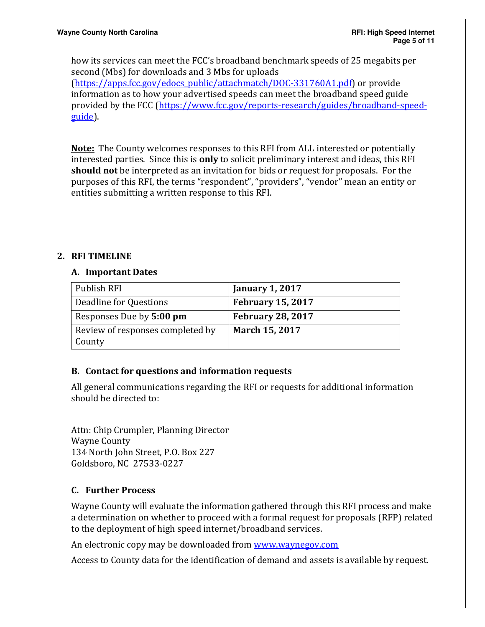how its services can meet the FCC's broadband benchmark speeds of 25 megabits per second (Mbs) for downloads and 3 Mbs for uploads

(https://apps.fcc.gov/edocs\_public/attachmatch/DOC-331760A1.pdf) or provide information as to how your advertised speeds can meet the broadband speed guide provided by the FCC (https://www.fcc.gov/reports-research/guides/broadband-speedguide).

**Note:** The County welcomes responses to this RFI from ALL interested or potentially interested parties. Since this is **only** to solicit preliminary interest and ideas, this RFI should not be interpreted as an invitation for bids or request for proposals. For the purposes of this RFI, the terms "respondent", "providers", "vendor" mean an entity or entities submitting a written response to this RFI.

### 2. RFI TIMELINE

#### A. Important Dates

| Publish RFI                                | <b>January 1, 2017</b>   |
|--------------------------------------------|--------------------------|
| Deadline for Questions                     | <b>February 15, 2017</b> |
| Responses Due by 5:00 pm                   | <b>February 28, 2017</b> |
| Review of responses completed by<br>County | March 15, 2017           |

#### B. Contact for questions and information requests

All general communications regarding the RFI or requests for additional information should be directed to:

Attn: Chip Crumpler, Planning Director Wayne County 134 North John Street, P.O. Box 227 Goldsboro, NC 27533-0227

# C. Further Process

Wayne County will evaluate the information gathered through this RFI process and make a determination on whether to proceed with a formal request for proposals (RFP) related to the deployment of high speed internet/broadband services.

An electronic copy may be downloaded from www.waynegov.com

Access to County data for the identification of demand and assets is available by request.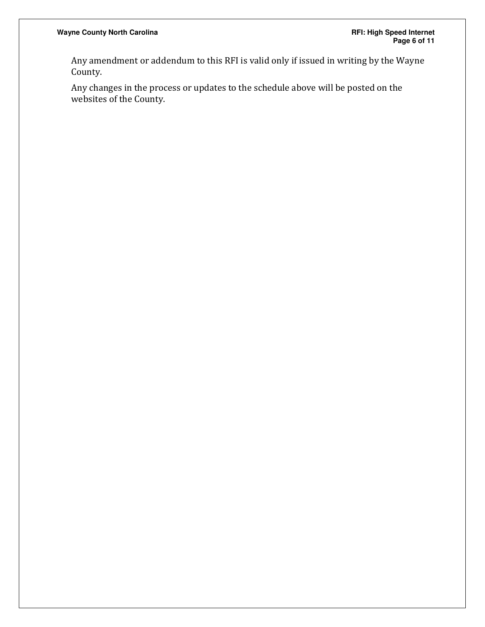Any amendment or addendum to this RFI is valid only if issued in writing by the Wayne County.

Any changes in the process or updates to the schedule above will be posted on the websites of the County.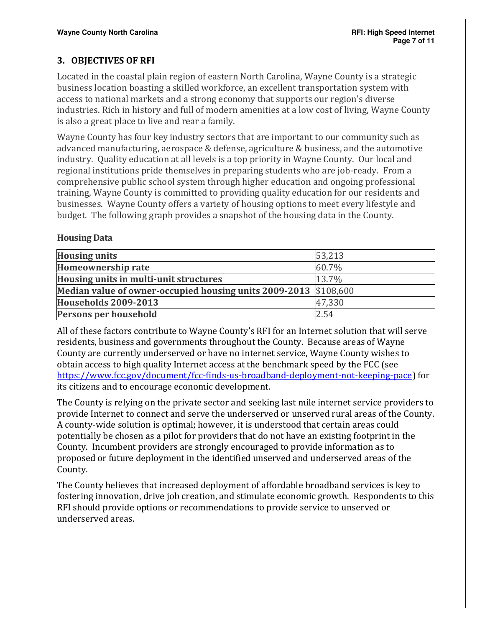# 3. OBJECTIVES OF RFI

Located in the coastal plain region of eastern North Carolina, Wayne County is a strategic business location boasting a skilled workforce, an excellent transportation system with access to national markets and a strong economy that supports our region's diverse industries. Rich in history and full of modern amenities at a low cost of living, Wayne County is also a great place to live and rear a family.

Wayne County has four key industry sectors that are important to our community such as advanced manufacturing, aerospace & defense, agriculture & business, and the automotive industry. Quality education at all levels is a top priority in Wayne County. Our local and regional institutions pride themselves in preparing students who are job-ready. From a comprehensive public school system through higher education and ongoing professional training, Wayne County is committed to providing quality education for our residents and businesses. Wayne County offers a variety of housing options to meet every lifestyle and budget. The following graph provides a snapshot of the housing data in the County.

#### Housing Data

| <b>Housing units</b>                                             | 53,213 |
|------------------------------------------------------------------|--------|
| <b>Homeownership rate</b>                                        | 60.7%  |
| Housing units in multi-unit structures                           | 13.7%  |
| Median value of owner-occupied housing units 2009-2013 \$108,600 |        |
| <b>Households 2009-2013</b>                                      | 47,330 |
| Persons per household                                            | 2.54   |

All of these factors contribute to Wayne County's RFI for an Internet solution that will serve residents, business and governments throughout the County. Because areas of Wayne County are currently underserved or have no internet service, Wayne County wishes to obtain access to high quality Internet access at the benchmark speed by the FCC (see https://www.fcc.gov/document/fcc-finds-us-broadband-deployment-not-keeping-pace) for its citizens and to encourage economic development.

The County is relying on the private sector and seeking last mile internet service providers to provide Internet to connect and serve the underserved or unserved rural areas of the County. A county-wide solution is optimal; however, it is understood that certain areas could potentially be chosen as a pilot for providers that do not have an existing footprint in the County. Incumbent providers are strongly encouraged to provide information as to proposed or future deployment in the identified unserved and underserved areas of the County.

The County believes that increased deployment of affordable broadband services is key to fostering innovation, drive job creation, and stimulate economic growth. Respondents to this RFI should provide options or recommendations to provide service to unserved or underserved areas.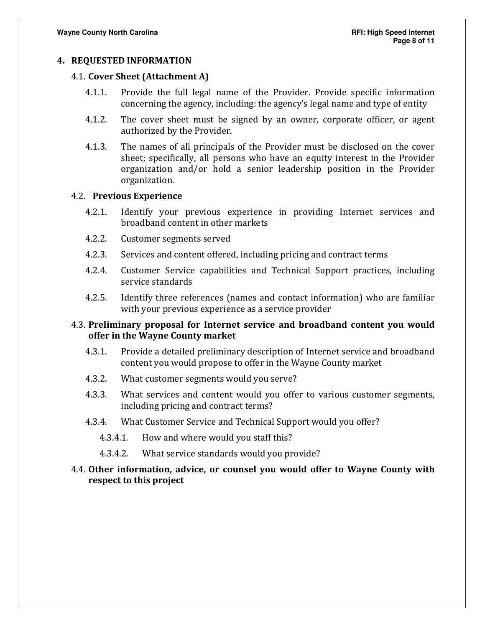#### 4. REQUESTED INFORMATION

#### 4.1. Cover Sheet (Attachment A)

- 4.1.1. Provide the full legal name of the Provider. Provide specific information concerning the agency, including: the agency's legal name and type of entity
- 4.1.2. The cover sheet must be signed by an owner, corporate officer, or agent authorized by the Provider.
- 4.1.3. The names of all principals of the Provider must be disclosed on the cover sheet; specifically, all persons who have an equity interest in the Provider organization and/or hold a senior leadership position in the Provider organization.

#### 4.2. Previous Experience

- 4.2.1. Identify your previous experience in providing Internet services and broadband content in other markets
- 4.2.2. Customer segments served
- 4.2.3. Services and content offered, including pricing and contract terms
- 4.2.4. Customer Service capabilities and Technical Support practices, including service standards
- 4.2.5. Identify three references (names and contact information) who are familiar with your previous experience as a service provider

#### 4.3. Preliminary proposal for Internet service and broadband content you would offer in the Wayne County market

- 4.3.1. Provide a detailed preliminary description of Internet service and broadband content you would propose to offer in the Wayne County market
- 4.3.2. What customer segments would you serve?
- 4.3.3. What services and content would you offer to various customer segments, including pricing and contract terms?
- 4.3.4. What Customer Service and Technical Support would you offer?
	- 4.3.4.1. How and where would you staff this?
	- 4.3.4.2. What service standards would you provide?

#### 4.4. Other information, advice, or counsel you would offer to Wayne County with respect to this project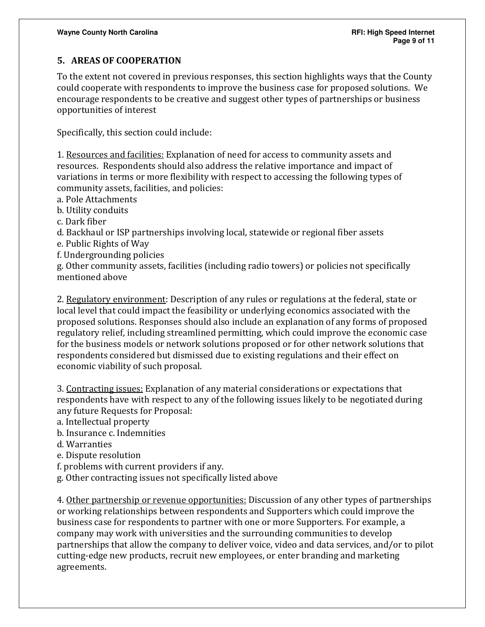# 5. AREAS OF COOPERATION

To the extent not covered in previous responses, this section highlights ways that the County could cooperate with respondents to improve the business case for proposed solutions. We encourage respondents to be creative and suggest other types of partnerships or business opportunities of interest

Specifically, this section could include:

1. Resources and facilities: Explanation of need for access to community assets and resources. Respondents should also address the relative importance and impact of variations in terms or more flexibility with respect to accessing the following types of community assets, facilities, and policies:

a. Pole Attachments

b. Utility conduits

c. Dark fiber

d. Backhaul or ISP partnerships involving local, statewide or regional fiber assets

- e. Public Rights of Way
- f. Undergrounding policies

g. Other community assets, facilities (including radio towers) or policies not specifically mentioned above

2. Regulatory environment: Description of any rules or regulations at the federal, state or local level that could impact the feasibility or underlying economics associated with the proposed solutions. Responses should also include an explanation of any forms of proposed regulatory relief, including streamlined permitting, which could improve the economic case for the business models or network solutions proposed or for other network solutions that respondents considered but dismissed due to existing regulations and their effect on economic viability of such proposal.

3. Contracting issues: Explanation of any material considerations or expectations that respondents have with respect to any of the following issues likely to be negotiated during any future Requests for Proposal:

a. Intellectual property

b. Insurance c. Indemnities

d. Warranties

e. Dispute resolution

f. problems with current providers if any.

g. Other contracting issues not specifically listed above

4. Other partnership or revenue opportunities: Discussion of any other types of partnerships or working relationships between respondents and Supporters which could improve the business case for respondents to partner with one or more Supporters. For example, a company may work with universities and the surrounding communities to develop partnerships that allow the company to deliver voice, video and data services, and/or to pilot cutting-edge new products, recruit new employees, or enter branding and marketing agreements.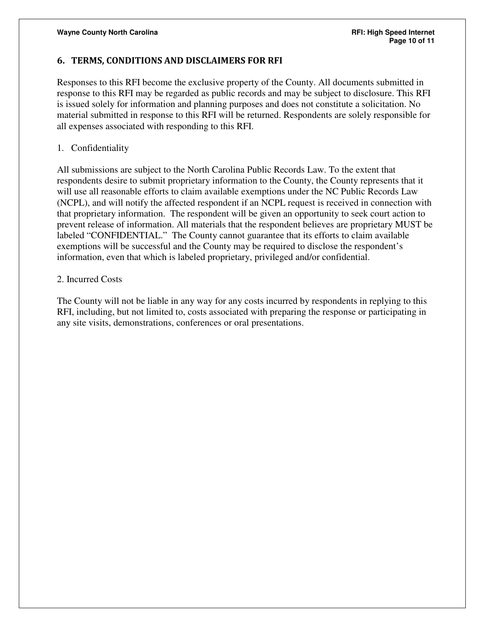#### 6. TERMS, CONDITIONS AND DISCLAIMERS FOR RFI

Responses to this RFI become the exclusive property of the County. All documents submitted in response to this RFI may be regarded as public records and may be subject to disclosure. This RFI is issued solely for information and planning purposes and does not constitute a solicitation. No material submitted in response to this RFI will be returned. Respondents are solely responsible for all expenses associated with responding to this RFI.

#### 1. Confidentiality

All submissions are subject to the North Carolina Public Records Law. To the extent that respondents desire to submit proprietary information to the County, the County represents that it will use all reasonable efforts to claim available exemptions under the NC Public Records Law (NCPL), and will notify the affected respondent if an NCPL request is received in connection with that proprietary information. The respondent will be given an opportunity to seek court action to prevent release of information. All materials that the respondent believes are proprietary MUST be labeled "CONFIDENTIAL." The County cannot guarantee that its efforts to claim available exemptions will be successful and the County may be required to disclose the respondent's information, even that which is labeled proprietary, privileged and/or confidential.

#### 2. Incurred Costs

The County will not be liable in any way for any costs incurred by respondents in replying to this RFI, including, but not limited to, costs associated with preparing the response or participating in any site visits, demonstrations, conferences or oral presentations.